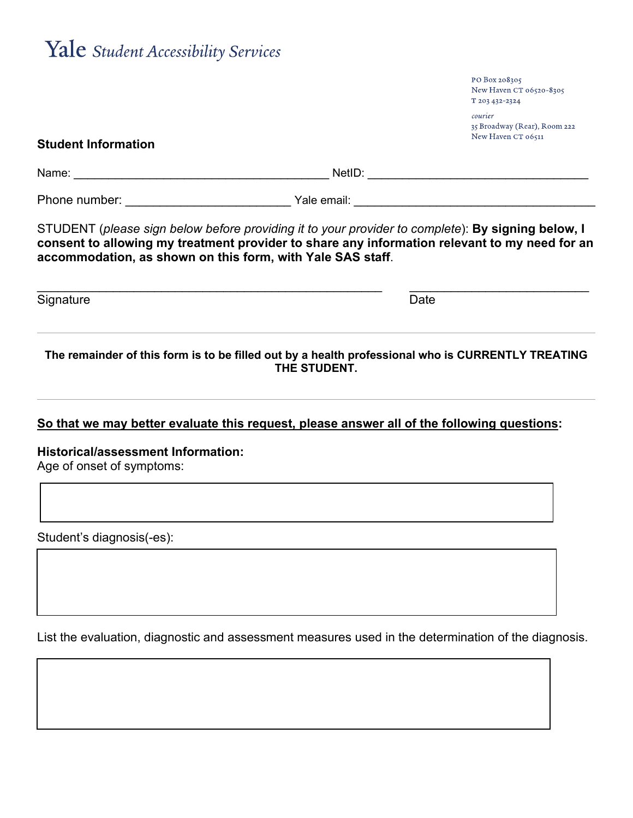## Yale Student Accessibility Services

|                                                                        |                                                                                                                                                                                                                                                                  | courier<br>35 Broadway (Rear), Room 222 |
|------------------------------------------------------------------------|------------------------------------------------------------------------------------------------------------------------------------------------------------------------------------------------------------------------------------------------------------------|-----------------------------------------|
| <b>Student Information</b>                                             |                                                                                                                                                                                                                                                                  | New Haven CT 06511                      |
|                                                                        |                                                                                                                                                                                                                                                                  |                                         |
|                                                                        |                                                                                                                                                                                                                                                                  |                                         |
|                                                                        | STUDENT (please sign below before providing it to your provider to complete): By signing below, I<br>consent to allowing my treatment provider to share any information relevant to my need for an<br>accommodation, as shown on this form, with Yale SAS staff. |                                         |
| Signature                                                              | Date                                                                                                                                                                                                                                                             |                                         |
|                                                                        | The remainder of this form is to be filled out by a health professional who is CURRENTLY TREATING<br>THE STUDENT.                                                                                                                                                |                                         |
|                                                                        | So that we may better evaluate this request, please answer all of the following questions:                                                                                                                                                                       |                                         |
| <b>Historical/assessment Information:</b><br>Age of onset of symptoms: |                                                                                                                                                                                                                                                                  |                                         |
| Student's diagnosis(-es):                                              |                                                                                                                                                                                                                                                                  |                                         |
|                                                                        |                                                                                                                                                                                                                                                                  |                                         |

PO Box 208305

T 203 432-2324

New Haven CT 06520-8305

List the evaluation, diagnostic and assessment measures used in the determination of the diagnosis.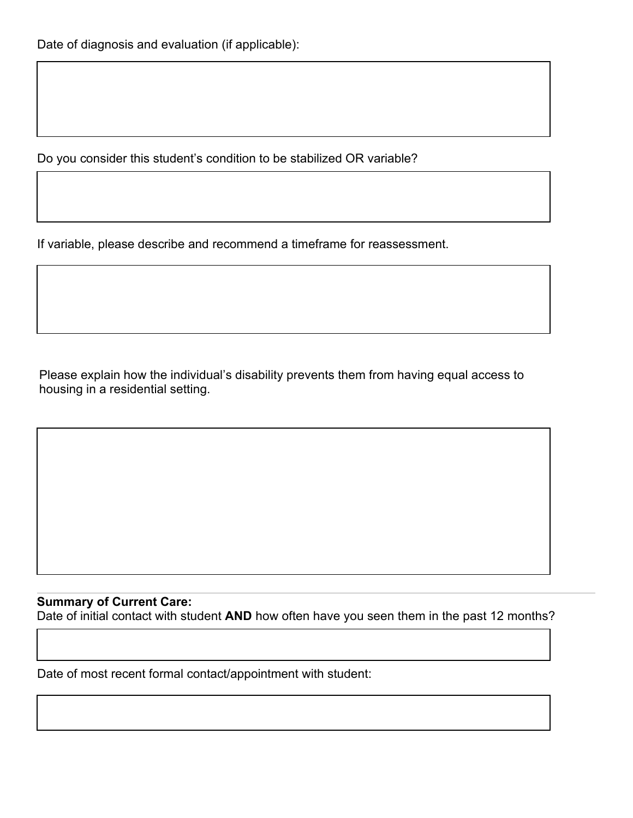Do you consider this student's condition to be stabilized OR variable?

If variable, please describe and recommend a timeframe for reassessment.

Please explain how the individual's disability prevents them from having equal access to housing in a residential setting.

## **Summary of Current Care:**

Date of initial contact with student **AND** how often have you seen them in the past 12 months?

Date of most recent formal contact/appointment with student: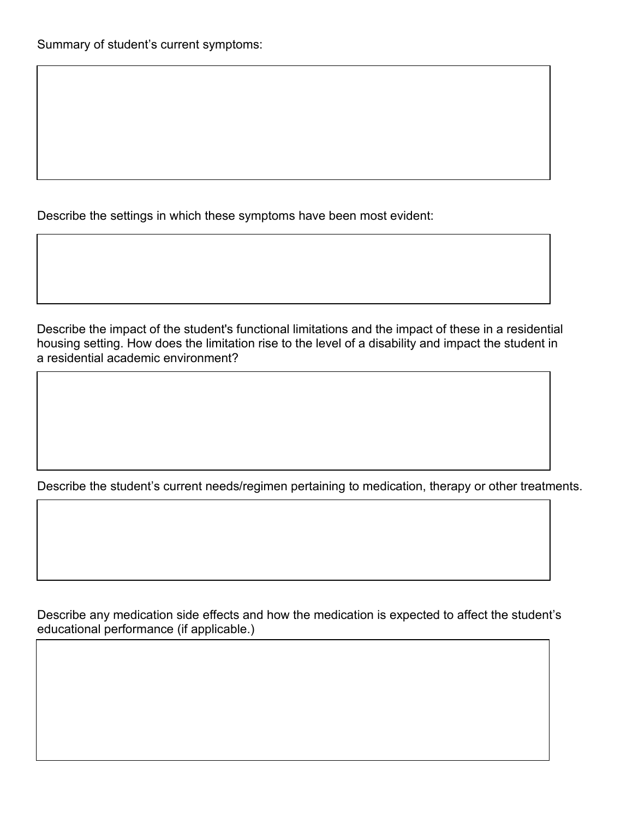Describe the settings in which these symptoms have been most evident:

Describe the impact of the student's functional limitations and the impact of these in a residential housing setting. How does the limitation rise to the level of a disability and impact the student in a residential academic environment?

Describe the student's current needs/regimen pertaining to medication, therapy or other treatments.

Describe any medication side effects and how the medication is expected to affect the student's educational performance (if applicable.)